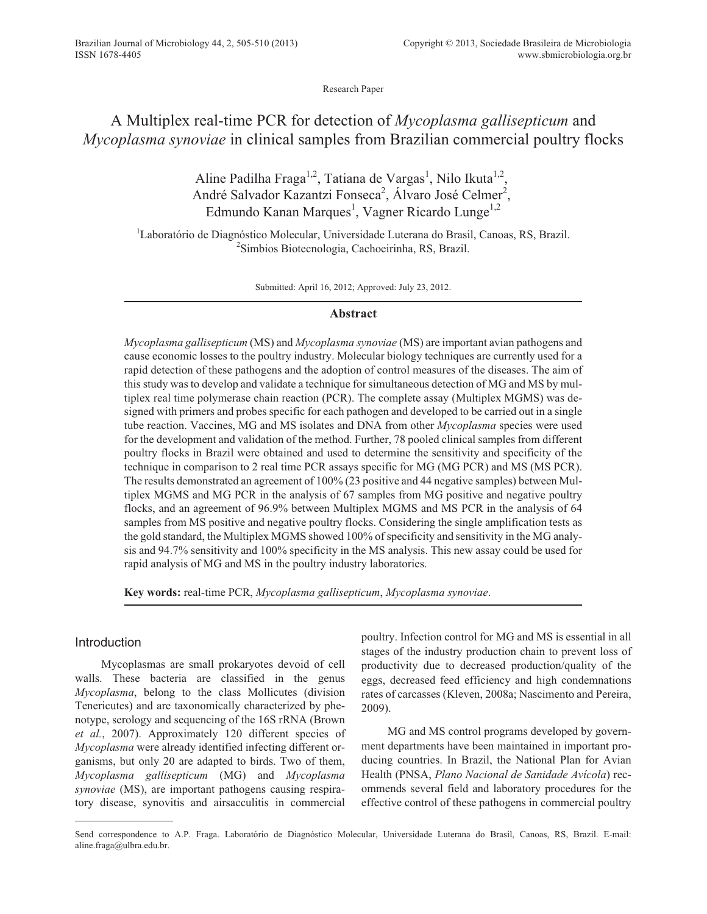Research Paper

# A Multiplex real-time PCR for detection of *Mycoplasma gallisepticum* and *Mycoplasma synoviae* in clinical samples from Brazilian commercial poultry flocks

Aline Padilha Fraga<sup>1,2</sup>, Tatiana de Vargas<sup>1</sup>, Nilo Ikuta<sup>1,2</sup>, André Salvador Kazantzi Fonseca<sup>2</sup>, Álvaro José Celmer<sup>2</sup>, Edmundo Kanan Marques<sup>1</sup>, Vagner Ricardo Lunge<sup>1,2</sup>

<sup>1</sup>Laboratório de Diagnóstico Molecular, Universidade Luterana do Brasil, Canoas, RS, Brazil. <sup>2</sup>Simbios Biotecnologia, Cachoeirinha, RS, Brazil.

Submitted: April 16, 2012; Approved: July 23, 2012.

# **Abstract**

*Mycoplasma gallisepticum* (MS) and *Mycoplasma synoviae* (MS) are important avian pathogens and cause economic losses to the poultry industry. Molecular biology techniques are currently used for a rapid detection of these pathogens and the adoption of control measures of the diseases. The aim of this study was to develop and validate a technique for simultaneous detection of MG and MS by multiplex real time polymerase chain reaction (PCR). The complete assay (Multiplex MGMS) was designed with primers and probes specific for each pathogen and developed to be carried out in a single tube reaction. Vaccines, MG and MS isolates and DNA from other *Mycoplasma* species were used for the development and validation of the method. Further, 78 pooled clinical samples from different poultry flocks in Brazil were obtained and used to determine the sensitivity and specificity of the technique in comparison to 2 real time PCR assays specific for MG (MG PCR) and MS (MS PCR). The results demonstrated an agreement of 100% (23 positive and 44 negative samples) between Multiplex MGMS and MG PCR in the analysis of 67 samples from MG positive and negative poultry flocks, and an agreement of 96.9% between Multiplex MGMS and MS PCR in the analysis of 64 samples from MS positive and negative poultry flocks. Considering the single amplification tests as the gold standard, the Multiplex MGMS showed 100% of specificity and sensitivity in the MG analysis and 94.7% sensitivity and 100% specificity in the MS analysis. This new assay could be used for rapid analysis of MG and MS in the poultry industry laboratories.

**Key words:** real-time PCR, *Mycoplasma gallisepticum*, *Mycoplasma synoviae*.

# Introduction

Mycoplasmas are small prokaryotes devoid of cell walls. These bacteria are classified in the genus *Mycoplasma*, belong to the class Mollicutes (division Tenericutes) and are taxonomically characterized by phenotype, serology and sequencing of the 16S rRNA (Brown *et al.*, 2007). Approximately 120 different species of *Mycoplasma* were already identified infecting different organisms, but only 20 are adapted to birds. Two of them, *Mycoplasma gallisepticum* (MG) and *Mycoplasma synoviae* (MS), are important pathogens causing respiratory disease, synovitis and airsacculitis in commercial poultry. Infection control for MG and MS is essential in all stages of the industry production chain to prevent loss of productivity due to decreased production/quality of the eggs, decreased feed efficiency and high condemnations rates of carcasses (Kleven, 2008a; Nascimento and Pereira, 2009).

MG and MS control programs developed by government departments have been maintained in important producing countries. In Brazil, the National Plan for Avian Health (PNSA, *Plano Nacional de Sanidade Avícola*) recommends several field and laboratory procedures for the effective control of these pathogens in commercial poultry

Send correspondence to A.P. Fraga. Laboratório de Diagnóstico Molecular, Universidade Luterana do Brasil, Canoas, RS, Brazil. E-mail: aline.fraga@ulbra.edu.br.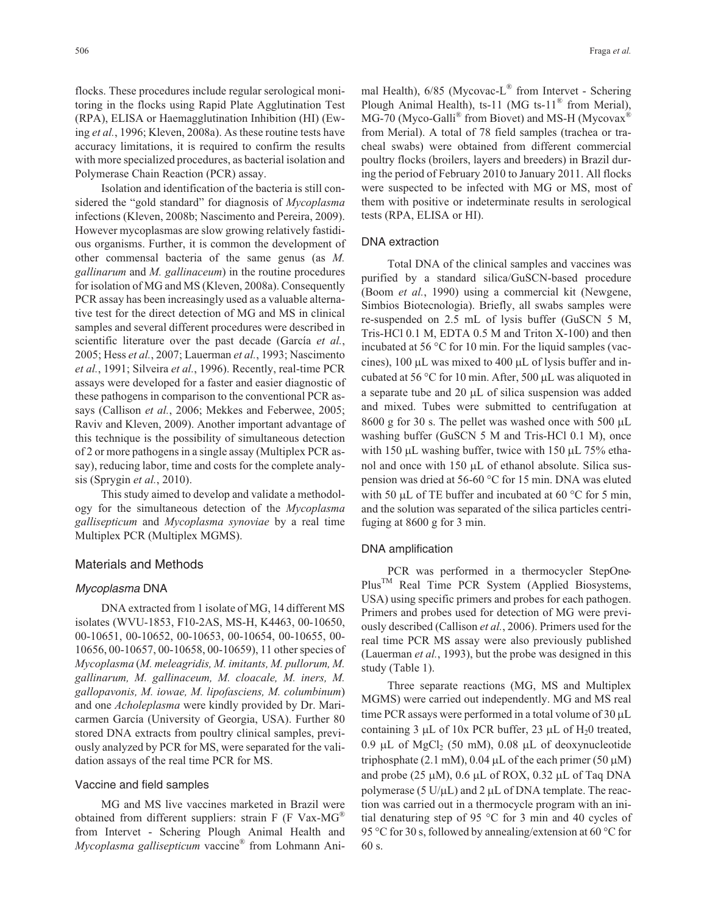flocks. These procedures include regular serological monitoring in the flocks using Rapid Plate Agglutination Test (RPA), ELISA or Haemagglutination Inhibition (HI) (Ewing *et al.*, 1996; Kleven, 2008a). As these routine tests have accuracy limitations, it is required to confirm the results with more specialized procedures, as bacterial isolation and Polymerase Chain Reaction (PCR) assay.

Isolation and identification of the bacteria is still considered the "gold standard" for diagnosis of *Mycoplasma* infections (Kleven, 2008b; Nascimento and Pereira, 2009). However mycoplasmas are slow growing relatively fastidious organisms. Further, it is common the development of other commensal bacteria of the same genus (as *M. gallinarum* and *M. gallinaceum*) in the routine procedures for isolation of MG and MS (Kleven, 2008a). Consequently PCR assay has been increasingly used as a valuable alternative test for the direct detection of MG and MS in clinical samples and several different procedures were described in scientific literature over the past decade (García *et al.*, 2005; Hess *et al.*, 2007; Lauerman *et al.*, 1993; Nascimento *et al.*, 1991; Silveira *et al.*, 1996). Recently, real-time PCR assays were developed for a faster and easier diagnostic of these pathogens in comparison to the conventional PCR assays (Callison *et al.*, 2006; Mekkes and Feberwee, 2005; Raviv and Kleven, 2009). Another important advantage of this technique is the possibility of simultaneous detection of 2 or more pathogens in a single assay (Multiplex PCR assay), reducing labor, time and costs for the complete analysis (Sprygin *et al.*, 2010).

This study aimed to develop and validate a methodology for the simultaneous detection of the *Mycoplasma gallisepticum* and *Mycoplasma synoviae* by a real time Multiplex PCR (Multiplex MGMS).

## Materials and Methods

#### Mycoplasma DNA

DNA extracted from 1 isolate of MG, 14 different MS isolates (WVU-1853, F10-2AS, MS-H, K4463, 00-10650, 00-10651, 00-10652, 00-10653, 00-10654, 00-10655, 00- 10656, 00-10657, 00-10658, 00-10659), 11 other species of *Mycoplasma* (*M. meleagridis, M. imitants, M. pullorum, M. gallinarum, M. gallinaceum, M. cloacale, M. iners, M. gallopavonis, M. iowae, M. lipofasciens, M. columbinum*) and one *Acholeplasma* were kindly provided by Dr. Maricarmen García (University of Georgia, USA). Further 80 stored DNA extracts from poultry clinical samples, previously analyzed by PCR for MS, were separated for the validation assays of the real time PCR for MS.

## Vaccine and field samples

MG and MS live vaccines marketed in Brazil were obtained from different suppliers: strain  $F$  (F Vax-MG<sup>®</sup> from Intervet - Schering Plough Animal Health and *Mycoplasma gallisepticum* vaccine® from Lohmann Animal Health),  $6/85$  (Mycovac-L<sup>®</sup> from Intervet - Schering Plough Animal Health), ts-11 (MG ts-11<sup>®</sup> from Merial),  $MG-70$  (Myco-Galli<sup>®</sup> from Biovet) and MS-H (Mycovax<sup>®</sup> from Merial). A total of 78 field samples (trachea or tracheal swabs) were obtained from different commercial poultry flocks (broilers, layers and breeders) in Brazil during the period of February 2010 to January 2011. All flocks were suspected to be infected with MG or MS, most of them with positive or indeterminate results in serological tests (RPA, ELISA or HI).

#### DNA extraction

Total DNA of the clinical samples and vaccines was purified by a standard silica/GuSCN-based procedure (Boom *et al.*, 1990) using a commercial kit (Newgene, Simbios Biotecnologia). Briefly, all swabs samples were re-suspended on 2.5 mL of lysis buffer (GuSCN 5 M, Tris-HCl 0.1 M, EDTA 0.5 M and Triton X-100) and then incubated at 56 °C for 10 min. For the liquid samples (vaccines),  $100 \mu L$  was mixed to  $400 \mu L$  of lysis buffer and incubated at 56 °C for 10 min. After, 500  $\mu$ L was aliquoted in a separate tube and 20  $\mu$ L of silica suspension was added and mixed. Tubes were submitted to centrifugation at  $8600$  g for 30 s. The pellet was washed once with 500  $\mu$ L washing buffer (GuSCN 5 M and Tris-HCl 0.1 M), once with 150  $\mu$ L washing buffer, twice with 150  $\mu$ L 75% ethanol and once with 150  $\mu$ L of ethanol absolute. Silica suspension was dried at 56-60 °C for 15 min. DNA was eluted with 50  $\mu$ L of TE buffer and incubated at 60 °C for 5 min, and the solution was separated of the silica particles centrifuging at 8600 g for 3 min.

#### DNA amplification

PCR was performed in a thermocycler StepOne-PlusTM Real Time PCR System (Applied Biosystems, USA) using specific primers and probes for each pathogen. Primers and probes used for detection of MG were previously described (Callison *et al.*, 2006). Primers used for the real time PCR MS assay were also previously published (Lauerman *et al.*, 1993), but the probe was designed in this study (Table 1).

Three separate reactions (MG, MS and Multiplex MGMS) were carried out independently. MG and MS real time PCR assays were performed in a total volume of  $30 \mu L$ containing 3  $\mu$ L of 10x PCR buffer, 23  $\mu$ L of H<sub>2</sub>0 treated,  $0.9 \mu L$  of MgCl<sub>2</sub> (50 mM),  $0.08 \mu L$  of deoxynucleotide triphosphate  $(2.1 \text{ mM})$ , 0.04 µL of the each primer (50 µM) and probe  $(25 \mu M)$ , 0.6  $\mu L$  of ROX, 0.32  $\mu L$  of Taq DNA polymerase (5  $U/\mu L$ ) and 2  $\mu L$  of DNA template. The reaction was carried out in a thermocycle program with an initial denaturing step of 95 °C for 3 min and 40 cycles of 95 °C for 30 s, followed by annealing/extension at 60 °C for 60 s.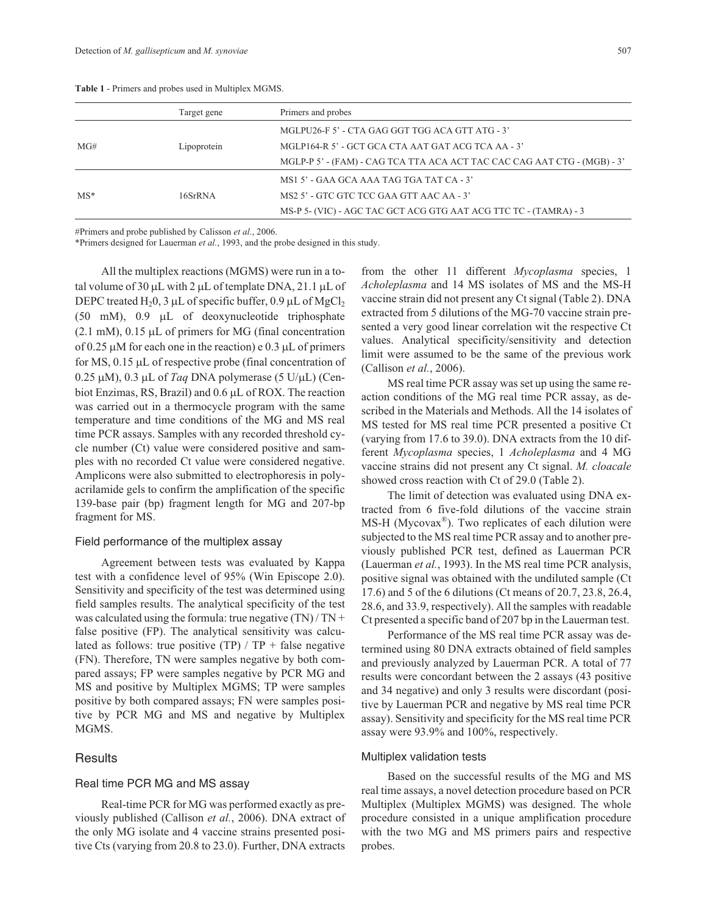| <b>Table 1</b> - Primers and probes used in Multiplex MGMS. |             |                                                    |  |  |
|-------------------------------------------------------------|-------------|----------------------------------------------------|--|--|
|                                                             | Target gene | Primers and probes                                 |  |  |
|                                                             |             | MGLPU26-F 5' - CTA GAG GGT TGG ACA GTT ATG - 3'    |  |  |
| MG#                                                         | Lipoprotein | MGLP164-R 5' - GCT GCA CTA AAT GAT ACG TCA AA - 3' |  |  |

MS1 5' - GAA GCA AAA TAG TGA TAT CA - 3'

MGLP-P 5' - (FAM) - CAG TCA TTA ACA ACT TAC CAC CAG AAT CTG - (MGB) - 3'

MS-P 5- (VIC) - AGC TAC GCT ACG GTG AAT ACG TTC TC - (TAMRA) - 3

**Table 1** - Primers and probe

#Primers and probe published by Calisson *et al.*, 2006.

\*Primers designed for Lauerman *et al.*, 1993, and the probe designed in this study.

MS\* 16SrRNA MS2 5' - GTC GTC TCC GAA GTT AAC AA - 3'

All the multiplex reactions (MGMS) were run in a total volume of 30  $\mu$ L with 2  $\mu$ L of template DNA, 21.1  $\mu$ L of DEPC treated H<sub>2</sub>0, 3 µL of specific buffer, 0.9 µL of MgCl<sub>2</sub>  $(50 \text{ mM})$ ,  $0.9 \mu L$  of deoxynucleotide triphosphate  $(2.1 \text{ mM})$ ,  $0.15 \mu L$  of primers for MG (final concentration of 0.25  $\mu$ M for each one in the reaction) e 0.3  $\mu$ L of primers for MS,  $0.15 \mu L$  of respective probe (final concentration of  $0.25 \mu M$ ),  $0.3 \mu L$  of *Taq* DNA polymerase (5 U/ $\mu$ L) (Cenbiot Enzimas, RS, Brazil) and 0.6 µL of ROX. The reaction was carried out in a thermocycle program with the same temperature and time conditions of the MG and MS real time PCR assays. Samples with any recorded threshold cycle number (Ct) value were considered positive and samples with no recorded Ct value were considered negative. Amplicons were also submitted to electrophoresis in polyacrilamide gels to confirm the amplification of the specific 139-base pair (bp) fragment length for MG and 207-bp fragment for MS.

#### Field performance of the multiplex assay

Agreement between tests was evaluated by Kappa test with a confidence level of 95% (Win Episcope 2.0). Sensitivity and specificity of the test was determined using field samples results. The analytical specificity of the test was calculated using the formula: true negative  $(TN)/TN +$ false positive (FP). The analytical sensitivity was calculated as follows: true positive (TP) /  $TP + false$  negative (FN). Therefore, TN were samples negative by both compared assays; FP were samples negative by PCR MG and MS and positive by Multiplex MGMS; TP were samples positive by both compared assays; FN were samples positive by PCR MG and MS and negative by Multiplex MGMS.

#### **Results**

#### Real time PCR MG and MS assay

Real-time PCR for MG was performed exactly as previously published (Callison *et al.*, 2006). DNA extract of the only MG isolate and 4 vaccine strains presented positive Cts (varying from 20.8 to 23.0). Further, DNA extracts

from the other 11 different *Mycoplasma* species, 1 *Acholeplasma* and 14 MS isolates of MS and the MS-H vaccine strain did not present any Ct signal (Table 2). DNA extracted from 5 dilutions of the MG-70 vaccine strain presented a very good linear correlation wit the respective Ct values. Analytical specificity/sensitivity and detection limit were assumed to be the same of the previous work (Callison *et al.*, 2006).

MS real time PCR assay was set up using the same reaction conditions of the MG real time PCR assay, as described in the Materials and Methods. All the 14 isolates of MS tested for MS real time PCR presented a positive Ct (varying from 17.6 to 39.0). DNA extracts from the 10 different *Mycoplasma* species, 1 *Acholeplasma* and 4 MG vaccine strains did not present any Ct signal. *M. cloacale* showed cross reaction with Ct of 29.0 (Table 2).

The limit of detection was evaluated using DNA extracted from 6 five-fold dilutions of the vaccine strain  $MS-H$  (Mycovax<sup>®</sup>). Two replicates of each dilution were subjected to the MS real time PCR assay and to another previously published PCR test, defined as Lauerman PCR (Lauerman *et al.*, 1993). In the MS real time PCR analysis, positive signal was obtained with the undiluted sample (Ct 17.6) and 5 of the 6 dilutions (Ct means of 20.7, 23.8, 26.4, 28.6, and 33.9, respectively). All the samples with readable Ct presented a specific band of 207 bp in the Lauerman test.

Performance of the MS real time PCR assay was determined using 80 DNA extracts obtained of field samples and previously analyzed by Lauerman PCR. A total of 77 results were concordant between the 2 assays (43 positive and 34 negative) and only 3 results were discordant (positive by Lauerman PCR and negative by MS real time PCR assay). Sensitivity and specificity for the MS real time PCR assay were 93.9% and 100%, respectively.

#### Multiplex validation tests

Based on the successful results of the MG and MS real time assays, a novel detection procedure based on PCR Multiplex (Multiplex MGMS) was designed. The whole procedure consisted in a unique amplification procedure with the two MG and MS primers pairs and respective probes.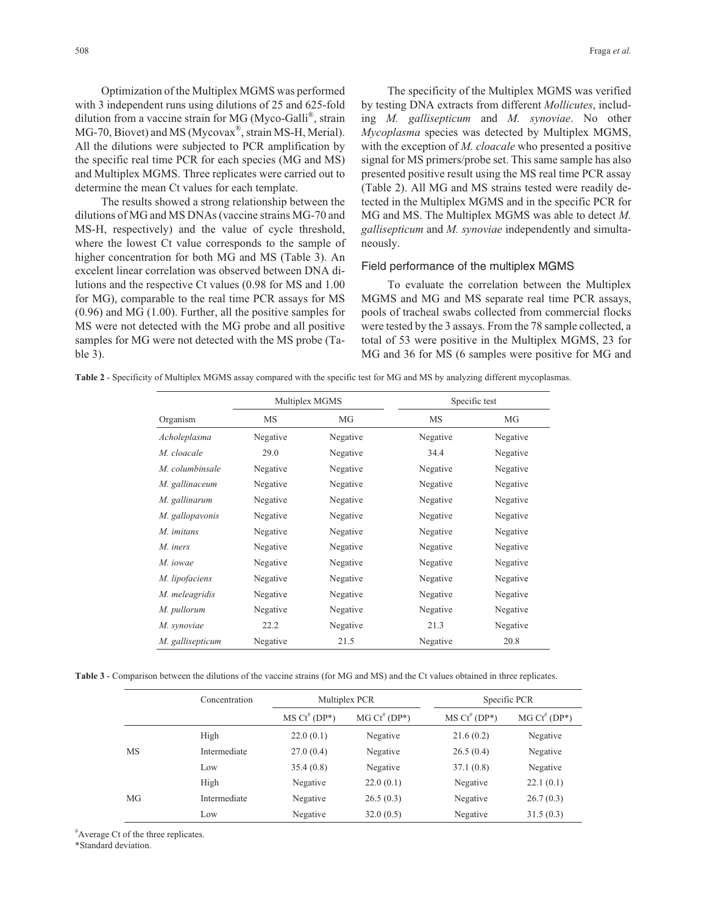Optimization of the Multiplex MGMS was performed with 3 independent runs using dilutions of 25 and 625-fold dilution from a vaccine strain for MG (Myco-Galli®, strain MG-70, Biovet) and MS (Mycovax<sup>®</sup>, strain MS-H, Merial). All the dilutions were subjected to PCR amplification by the specific real time PCR for each species (MG and MS) and Multiplex MGMS. Three replicates were carried out to determine the mean Ct values for each template.

The results showed a strong relationship between the dilutions of MG and MS DNAs (vaccine strains MG-70 and MS-H, respectively) and the value of cycle threshold, where the lowest Ct value corresponds to the sample of higher concentration for both MG and MS (Table 3). An excelent linear correlation was observed between DNA dilutions and the respective Ct values (0.98 for MS and 1.00 for MG), comparable to the real time PCR assays for MS (0.96) and MG (1.00). Further, all the positive samples for MS were not detected with the MG probe and all positive samples for MG were not detected with the MS probe (Table 3).

The specificity of the Multiplex MGMS was verified by testing DNA extracts from different *Mollicutes*, including *M. gallisepticum* and *M. synoviae*. No other *Mycoplasma* species was detected by Multiplex MGMS, with the exception of *M. cloacale* who presented a positive signal for MS primers/probe set. This same sample has also presented positive result using the MS real time PCR assay (Table 2). All MG and MS strains tested were readily detected in the Multiplex MGMS and in the specific PCR for MG and MS. The Multiplex MGMS was able to detect *M. gallisepticum* and *M. synoviae* independently and simultaneously.

## Field performance of the multiplex MGMS

To evaluate the correlation between the Multiplex MGMS and MG and MS separate real time PCR assays, pools of tracheal swabs collected from commercial flocks were tested by the 3 assays. From the 78 sample collected, a total of 53 were positive in the Multiplex MGMS, 23 for MG and 36 for MS (6 samples were positive for MG and

**Table 2** - Specificity of Multiplex MGMS assay compared with the specific test for MG and MS by analyzing different mycoplasmas.

|                  | Multiplex MGMS |          | Specific test |          |  |
|------------------|----------------|----------|---------------|----------|--|
| Organism         | MS             | MG       | MS            | MG       |  |
| Acholeplasma     | Negative       | Negative | Negative      | Negative |  |
| M. cloacale      | 29.0           | Negative | 34.4          | Negative |  |
| M. columbinsale  | Negative       | Negative | Negative      | Negative |  |
| M. gallinaceum   | Negative       | Negative | Negative      | Negative |  |
| M. gallinarum    | Negative       | Negative | Negative      | Negative |  |
| M. gallopavonis  | Negative       | Negative | Negative      | Negative |  |
| M. imitans       | Negative       | Negative | Negative      | Negative |  |
| M. iners         | Negative       | Negative | Negative      | Negative |  |
| M. iowae         | Negative       | Negative | Negative      | Negative |  |
| M. lipofaciens   | Negative       | Negative | Negative      | Negative |  |
| M. meleagridis   | Negative       | Negative | Negative      | Negative |  |
| M. pullorum      | Negative       | Negative | Negative      | Negative |  |
| M. synoviae      | 22.2           | Negative | 21.3          | Negative |  |
| M. gallisepticum | Negative       | 21.5     | Negative      | 20.8     |  |

**Table 3** - Comparison between the dilutions of the vaccine strains (for MG and MS) and the Ct values obtained in three replicates.

|    | Concentration |                     | Multiplex PCR          |                    | Specific PCR           |  |
|----|---------------|---------------------|------------------------|--------------------|------------------------|--|
|    |               | $MS\ Ct^{\#}(DP^*)$ | $MG \, Ct^{\#} (DP^*)$ | $MS Ct^{\#}(DP^*)$ | $MG \, Ct^{\#} (DP^*)$ |  |
|    | High          | 22.0(0.1)           | Negative               | 21.6(0.2)          | Negative               |  |
| MS | Intermediate  | 27.0(0.4)           | Negative               | 26.5(0.4)          | Negative               |  |
|    | Low           | 35.4(0.8)           | Negative               | 37.1(0.8)          | Negative               |  |
|    | High          | Negative            | 22.0(0.1)              | Negative           | 22.1(0.1)              |  |
| MG | Intermediate  | Negative            | 26.5(0.3)              | Negative           | 26.7(0.3)              |  |
|    | Low           | Negative            | 32.0(0.5)              | Negative           | 31.5(0.3)              |  |

# Average Ct of the three replicates.

\*Standard deviation.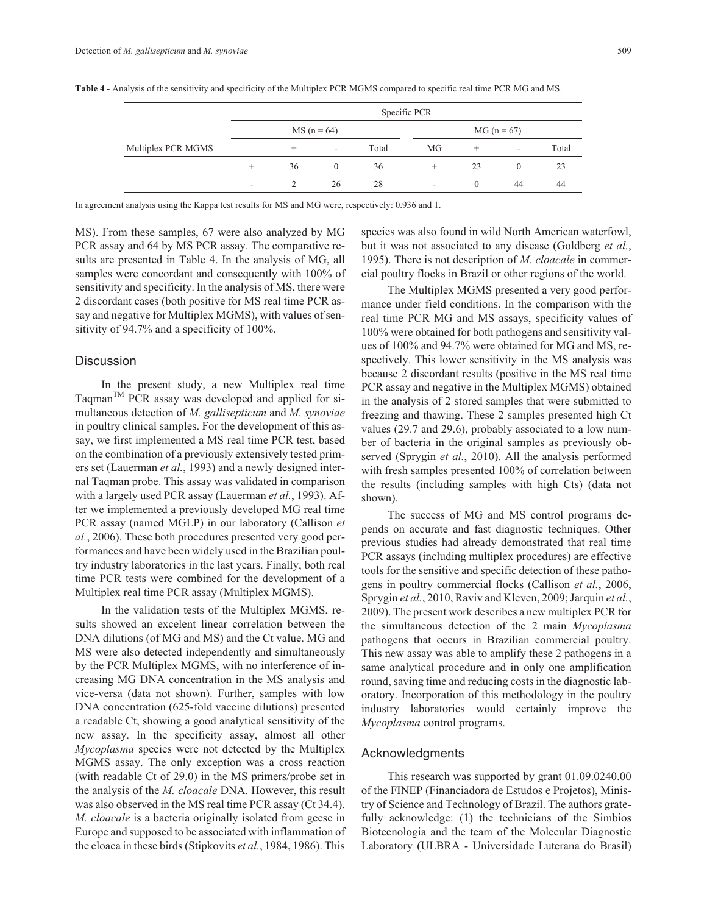|                    |                          |       | Specific PCR |               |     |          |                          |       |
|--------------------|--------------------------|-------|--------------|---------------|-----|----------|--------------------------|-------|
|                    | $MS(n = 64)$             |       |              | $MG (n = 67)$ |     |          |                          |       |
| Multiplex PCR MGMS |                          | $\pm$ | $\sim$       | Total         | MG  | $^+$     | $\overline{\phantom{a}}$ | Total |
|                    | $\div$                   | 36    | $\Omega$     | 36            | $+$ | 23       | $\theta$                 | 23    |
|                    | $\overline{\phantom{a}}$ |       | 26           | 28            | ۰.  | $\theta$ | 44                       | 44    |

**Table 4** - Analysis of the sensitivity and specificity of the Multiplex PCR MGMS compared to specific real time PCR MG and MS.

In agreement analysis using the Kappa test results for MS and MG were, respectively: 0.936 and 1.

MS). From these samples, 67 were also analyzed by MG PCR assay and 64 by MS PCR assay. The comparative results are presented in Table 4. In the analysis of MG, all samples were concordant and consequently with 100% of sensitivity and specificity. In the analysis of MS, there were 2 discordant cases (both positive for MS real time PCR assay and negative for Multiplex MGMS), with values of sensitivity of 94.7% and a specificity of 100%.

# **Discussion**

In the present study, a new Multiplex real time Taqman<sup>TM</sup> PCR assay was developed and applied for simultaneous detection of *M. gallisepticum* and *M. synoviae* in poultry clinical samples. For the development of this assay, we first implemented a MS real time PCR test, based on the combination of a previously extensively tested primers set (Lauerman *et al.*, 1993) and a newly designed internal Taqman probe. This assay was validated in comparison with a largely used PCR assay (Lauerman *et al.*, 1993). After we implemented a previously developed MG real time PCR assay (named MGLP) in our laboratory (Callison *et al.*, 2006). These both procedures presented very good performances and have been widely used in the Brazilian poultry industry laboratories in the last years. Finally, both real time PCR tests were combined for the development of a Multiplex real time PCR assay (Multiplex MGMS).

In the validation tests of the Multiplex MGMS, results showed an excelent linear correlation between the DNA dilutions (of MG and MS) and the Ct value. MG and MS were also detected independently and simultaneously by the PCR Multiplex MGMS, with no interference of increasing MG DNA concentration in the MS analysis and vice-versa (data not shown). Further, samples with low DNA concentration (625-fold vaccine dilutions) presented a readable Ct, showing a good analytical sensitivity of the new assay. In the specificity assay, almost all other *Mycoplasma* species were not detected by the Multiplex MGMS assay. The only exception was a cross reaction (with readable Ct of 29.0) in the MS primers/probe set in the analysis of the *M. cloacale* DNA. However, this result was also observed in the MS real time PCR assay (Ct 34.4). *M. cloacale* is a bacteria originally isolated from geese in Europe and supposed to be associated with inflammation of the cloaca in these birds (Stipkovits *et al.*, 1984, 1986). This

species was also found in wild North American waterfowl, but it was not associated to any disease (Goldberg *et al.*, 1995). There is not description of *M. cloacale* in commercial poultry flocks in Brazil or other regions of the world.

The Multiplex MGMS presented a very good performance under field conditions. In the comparison with the real time PCR MG and MS assays, specificity values of 100% were obtained for both pathogens and sensitivity values of 100% and 94.7% were obtained for MG and MS, respectively. This lower sensitivity in the MS analysis was because 2 discordant results (positive in the MS real time PCR assay and negative in the Multiplex MGMS) obtained in the analysis of 2 stored samples that were submitted to freezing and thawing. These 2 samples presented high Ct values (29.7 and 29.6), probably associated to a low number of bacteria in the original samples as previously observed (Sprygin *et al.*, 2010). All the analysis performed with fresh samples presented 100% of correlation between the results (including samples with high Cts) (data not shown).

The success of MG and MS control programs depends on accurate and fast diagnostic techniques. Other previous studies had already demonstrated that real time PCR assays (including multiplex procedures) are effective tools for the sensitive and specific detection of these pathogens in poultry commercial flocks (Callison *et al.*, 2006, Sprygin *et al.*, 2010, Raviv and Kleven, 2009; Jarquin *et al.*, 2009). The present work describes a new multiplex PCR for the simultaneous detection of the 2 main *Mycoplasma* pathogens that occurs in Brazilian commercial poultry. This new assay was able to amplify these 2 pathogens in a same analytical procedure and in only one amplification round, saving time and reducing costs in the diagnostic laboratory. Incorporation of this methodology in the poultry industry laboratories would certainly improve the *Mycoplasma* control programs.

#### Acknowledgments

This research was supported by grant 01.09.0240.00 of the FINEP (Financiadora de Estudos e Projetos), Ministry of Science and Technology of Brazil. The authors gratefully acknowledge: (1) the technicians of the Simbios Biotecnologia and the team of the Molecular Diagnostic Laboratory (ULBRA - Universidade Luterana do Brasil)